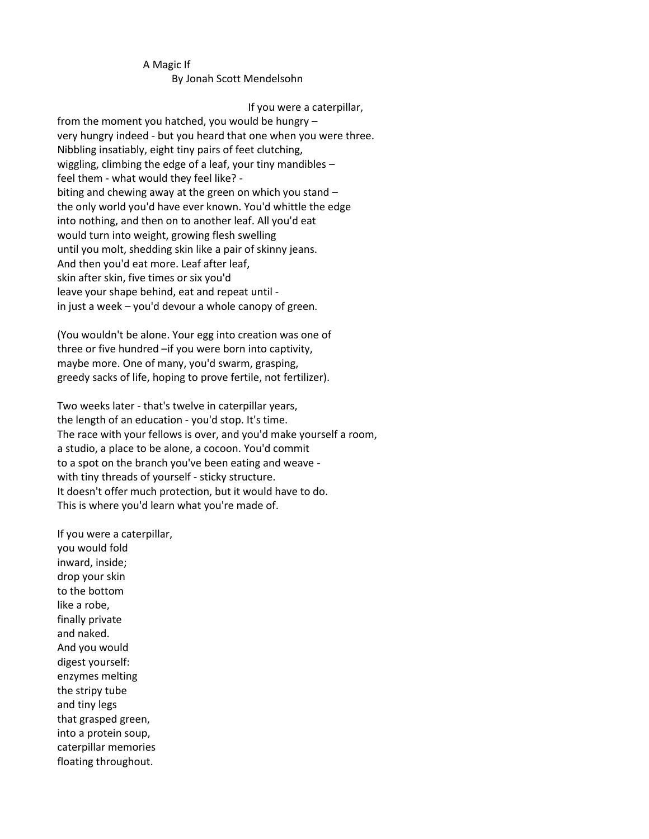## A Magic If By Jonah Scott Mendelsohn

## If you were a caterpillar,

from the moment you hatched, you would be hungry – very hungry indeed - but you heard that one when you were three. Nibbling insatiably, eight tiny pairs of feet clutching, wiggling, climbing the edge of a leaf, your tiny mandibles – feel them - what would they feel like? biting and chewing away at the green on which you stand – the only world you'd have ever known. You'd whittle the edge into nothing, and then on to another leaf. All you'd eat would turn into weight, growing flesh swelling until you molt, shedding skin like a pair of skinny jeans. And then you'd eat more. Leaf after leaf, skin after skin, five times or six you'd leave your shape behind, eat and repeat until in just a week – you'd devour a whole canopy of green.

(You wouldn't be alone. Your egg into creation was one of three or five hundred –if you were born into captivity, maybe more. One of many, you'd swarm, grasping, greedy sacks of life, hoping to prove fertile, not fertilizer).

Two weeks later - that's twelve in caterpillar years, the length of an education - you'd stop. It's time. The race with your fellows is over, and you'd make yourself a room, a studio, a place to be alone, a cocoon. You'd commit to a spot on the branch you've been eating and weave with tiny threads of yourself - sticky structure. It doesn't offer much protection, but it would have to do. This is where you'd learn what you're made of.

If you were a caterpillar, you would fold inward, inside; drop your skin to the bottom like a robe, finally private and naked. And you would digest yourself: enzymes melting the stripy tube and tiny legs that grasped green, into a protein soup, caterpillar memories floating throughout.